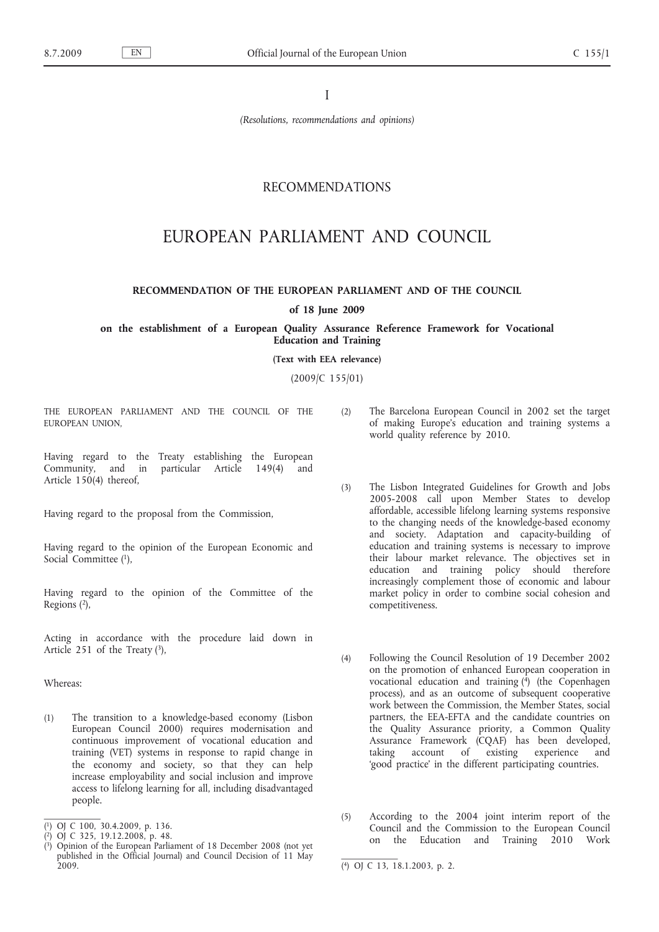I

*(Resolutions, recommendations and opinions)*

# RECOMMENDATIONS

# EUROPEAN PARLIAMENT AND COUNCIL

# **RECOMMENDATION OF THE EUROPEAN PARLIAMENT AND OF THE COUNCIL**

### **of 18 June 2009**

**on the establishment of a European Quality Assurance Reference Framework for Vocational Education and Training**

**(Text with EEA relevance)**

(2009/C 155/01)

THE EUROPEAN PARLIAMENT AND THE COUNCIL OF THE EUROPEAN UNION,

Having regard to the Treaty establishing the European Community, and in particular Article 149(4) and Article 150(4) thereof,

Having regard to the proposal from the Commission,

Having regard to the opinion of the European Economic and Social Committee (1),

Having regard to the opinion of the Committee of the Regions (2),

Acting in accordance with the procedure laid down in Article 251 of the Treaty  $(3)$ ,

Whereas:

(1) The transition to a knowledge-based economy (Lisbon European Council 2000) requires modernisation and continuous improvement of vocational education and training (VET) systems in response to rapid change in the economy and society, so that they can help increase employability and social inclusion and improve access to lifelong learning for all, including disadvantaged people.

- (2) The Barcelona European Council in 2002 set the target of making Europe's education and training systems a world quality reference by 2010.
- (3) The Lisbon Integrated Guidelines for Growth and Jobs 2005-2008 call upon Member States to develop affordable, accessible lifelong learning systems responsive to the changing needs of the knowledge-based economy and society. Adaptation and capacity-building of education and training systems is necessary to improve their labour market relevance. The objectives set in education and training policy should therefore increasingly complement those of economic and labour market policy in order to combine social cohesion and competitiveness.
- (4) Following the Council Resolution of 19 December 2002 on the promotion of enhanced European cooperation in vocational education and training  $(4)$  (the Copenhagen process), and as an outcome of subsequent cooperative work between the Commission, the Member States, social partners, the EEA-EFTA and the candidate countries on the Quality Assurance priority, a Common Quality Assurance Framework (CQAF) has been developed, taking account of existing experience and 'good practice' in the different participating countries.
- (5) According to the 2004 joint interim report of the Council and the Commission to the European Council on the Education and Training 2010 Work

<sup>(</sup> 1) OJ C 100, 30.4.2009, p. 136.

<sup>(</sup> 2) OJ C 325, 19.12.2008, p. 48.

<sup>(</sup> 3) Opinion of the European Parliament of 18 December 2008 (not yet published in the Official Journal) and Council Decision of 11 May

<sup>2009. (4)</sup> OJ C 13, 18.1.2003, p. 2.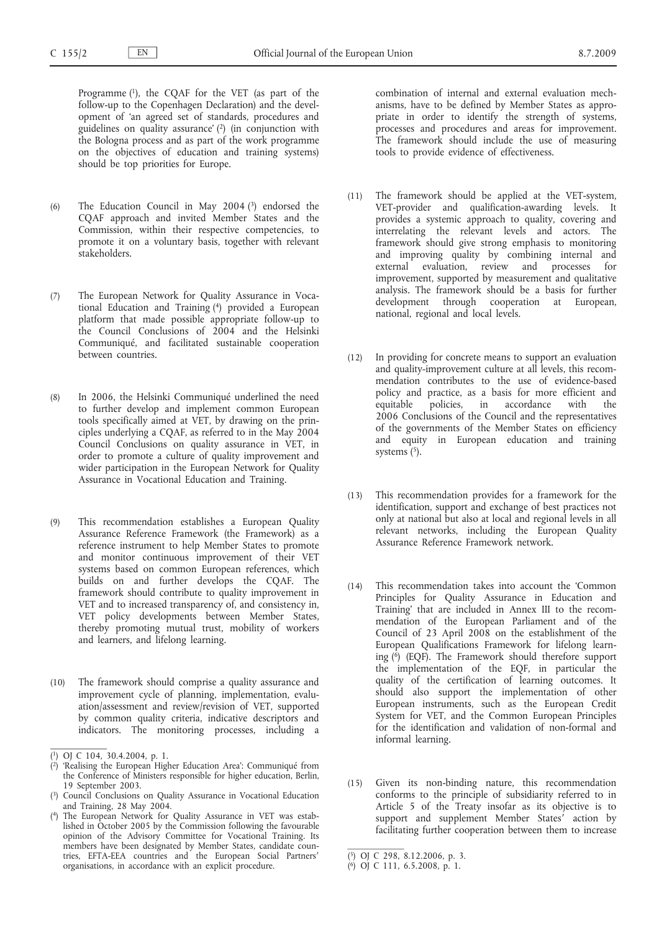Programme (1), the CQAF for the VET (as part of the follow-up to the Copenhagen Declaration) and the development of 'an agreed set of standards, procedures and guidelines on quality assurance' (2) (in conjunction with the Bologna process and as part of the work programme on the objectives of education and training systems) should be top priorities for Europe.

- (6) The Education Council in May 2004 (3) endorsed the CQAF approach and invited Member States and the Commission, within their respective competencies, to promote it on a voluntary basis, together with relevant stakeholders.
- (7) The European Network for Quality Assurance in Vocational Education and Training (4) provided a European platform that made possible appropriate follow-up to the Council Conclusions of 2004 and the Helsinki Communiqué, and facilitated sustainable cooperation between countries.
- (8) In 2006, the Helsinki Communiqué underlined the need to further develop and implement common European tools specifically aimed at VET, by drawing on the principles underlying a CQAF, as referred to in the May 2004 Council Conclusions on quality assurance in VET, in order to promote a culture of quality improvement and wider participation in the European Network for Quality Assurance in Vocational Education and Training.
- (9) This recommendation establishes a European Quality Assurance Reference Framework (the Framework) as a reference instrument to help Member States to promote and monitor continuous improvement of their VET systems based on common European references, which builds on and further develops the CQAF. The framework should contribute to quality improvement in VET and to increased transparency of, and consistency in, VET policy developments between Member States, thereby promoting mutual trust, mobility of workers and learners, and lifelong learning.
- (10) The framework should comprise a quality assurance and improvement cycle of planning, implementation, evaluation/assessment and review/revision of VET, supported by common quality criteria, indicative descriptors and indicators. The monitoring processes, including a

combination of internal and external evaluation mechanisms, have to be defined by Member States as appropriate in order to identify the strength of systems, processes and procedures and areas for improvement. The framework should include the use of measuring tools to provide evidence of effectiveness.

- (11) The framework should be applied at the VET-system, VET-provider and qualification-awarding levels. It provides a systemic approach to quality, covering and interrelating the relevant levels and actors. The framework should give strong emphasis to monitoring and improving quality by combining internal and external evaluation, review and processes for improvement, supported by measurement and qualitative analysis. The framework should be a basis for further development through cooperation at European, national, regional and local levels.
- (12) In providing for concrete means to support an evaluation and quality-improvement culture at all levels, this recommendation contributes to the use of evidence-based policy and practice, as a basis for more efficient and equitable policies, in accordance with the 2006 Conclusions of the Council and the representatives of the governments of the Member States on efficiency and equity in European education and training systems  $(5)$ .
- (13) This recommendation provides for a framework for the identification, support and exchange of best practices not only at national but also at local and regional levels in all relevant networks, including the European Quality Assurance Reference Framework network.
- (14) This recommendation takes into account the 'Common Principles for Quality Assurance in Education and Training' that are included in Annex III to the recommendation of the European Parliament and of the Council of 23 April 2008 on the establishment of the European Qualifications Framework for lifelong learning  $\binom{6}{1}$  (EQF). The Framework should therefore support the implementation of the EQF, in particular the quality of the certification of learning outcomes. It should also support the implementation of other European instruments, such as the European Credit System for VET, and the Common European Principles for the identification and validation of non-formal and informal learning.
- (15) Given its non-binding nature, this recommendation conforms to the principle of subsidiarity referred to in Article 5 of the Treaty insofar as its objective is to support and supplement Member States<sup>'</sup> action by facilitating further cooperation between them to increase

<sup>(</sup> 1) OJ C 104, 30.4.2004, p. 1.

<sup>(</sup> 2) 'Realising the European Higher Education Area': Communiqué from the Conference of Ministers responsible for higher education, Berlin, 19 September 2003.

<sup>(</sup> 3) Council Conclusions on Quality Assurance in Vocational Education and Training, 28 May 2004.

<sup>(</sup> The European Network for Quality Assurance in VET was established in October 2005 by the Commission following the favourable opinion of the Advisory Committee for Vocational Training. Its members have been designated by Member States, candidate countries, EFTA-EEA countries and the European Social Partners′ organisations, in accordance with an explicit procedure.

<sup>(</sup> 5) OJ C 298, 8.12.2006, p. 3.

<sup>(</sup> 6) OJ C 111, 6.5.2008, p. 1.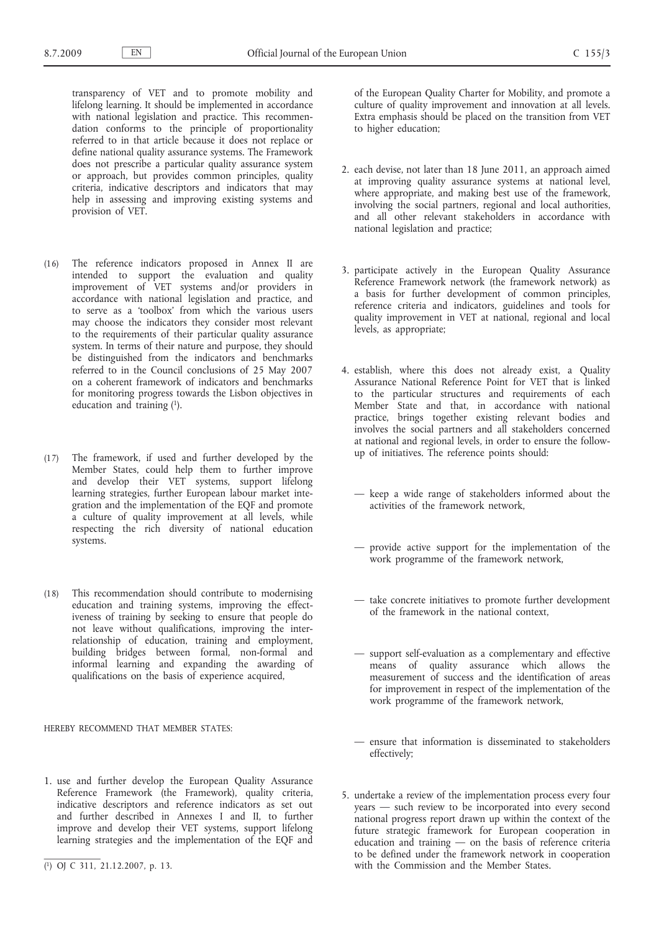transparency of VET and to promote mobility and lifelong learning. It should be implemented in accordance with national legislation and practice. This recommendation conforms to the principle of proportionality referred to in that article because it does not replace or define national quality assurance systems. The Framework does not prescribe a particular quality assurance system or approach, but provides common principles, quality criteria, indicative descriptors and indicators that may help in assessing and improving existing systems and provision of VET.

- (16) The reference indicators proposed in Annex II are intended to support the evaluation and quality improvement of VET systems and/or providers in accordance with national legislation and practice, and to serve as a 'toolbox' from which the various users may choose the indicators they consider most relevant to the requirements of their particular quality assurance system. In terms of their nature and purpose, they should be distinguished from the indicators and benchmarks referred to in the Council conclusions of 25 May 2007 on a coherent framework of indicators and benchmarks for monitoring progress towards the Lisbon objectives in education and training (1).
- (17) The framework, if used and further developed by the Member States, could help them to further improve and develop their VET systems, support lifelong learning strategies, further European labour market integration and the implementation of the EQF and promote a culture of quality improvement at all levels, while respecting the rich diversity of national education systems.
- (18) This recommendation should contribute to modernising education and training systems, improving the effectiveness of training by seeking to ensure that people do not leave without qualifications, improving the interrelationship of education, training and employment, building bridges between formal, non-formal and informal learning and expanding the awarding of qualifications on the basis of experience acquired,

#### HEREBY RECOMMEND THAT MEMBER STATES:

1. use and further develop the European Quality Assurance Reference Framework (the Framework), quality criteria, indicative descriptors and reference indicators as set out and further described in Annexes I and II, to further improve and develop their VET systems, support lifelong learning strategies and the implementation of the EQF and

of the European Quality Charter for Mobility, and promote a culture of quality improvement and innovation at all levels. Extra emphasis should be placed on the transition from VET to higher education;

- 2. each devise, not later than 18 June 2011, an approach aimed at improving quality assurance systems at national level, where appropriate, and making best use of the framework, involving the social partners, regional and local authorities, and all other relevant stakeholders in accordance with national legislation and practice;
- 3. participate actively in the European Quality Assurance Reference Framework network (the framework network) as a basis for further development of common principles, reference criteria and indicators, guidelines and tools for quality improvement in VET at national, regional and local levels, as appropriate;
- 4. establish, where this does not already exist, a Quality Assurance National Reference Point for VET that is linked to the particular structures and requirements of each Member State and that, in accordance with national practice, brings together existing relevant bodies and involves the social partners and all stakeholders concerned at national and regional levels, in order to ensure the followup of initiatives. The reference points should:
	- keep a wide range of stakeholders informed about the activities of the framework network,
	- provide active support for the implementation of the work programme of the framework network,
	- take concrete initiatives to promote further development of the framework in the national context,
	- support self-evaluation as a complementary and effective means of quality assurance which allows the measurement of success and the identification of areas for improvement in respect of the implementation of the work programme of the framework network,
	- ensure that information is disseminated to stakeholders effectively;
- 5. undertake a review of the implementation process every four years — such review to be incorporated into every second national progress report drawn up within the context of the future strategic framework for European cooperation in education and training — on the basis of reference criteria to be defined under the framework network in cooperation with the Commission and the Member States.

<sup>(</sup> 1) OJ C 311, 21.12.2007, p. 13.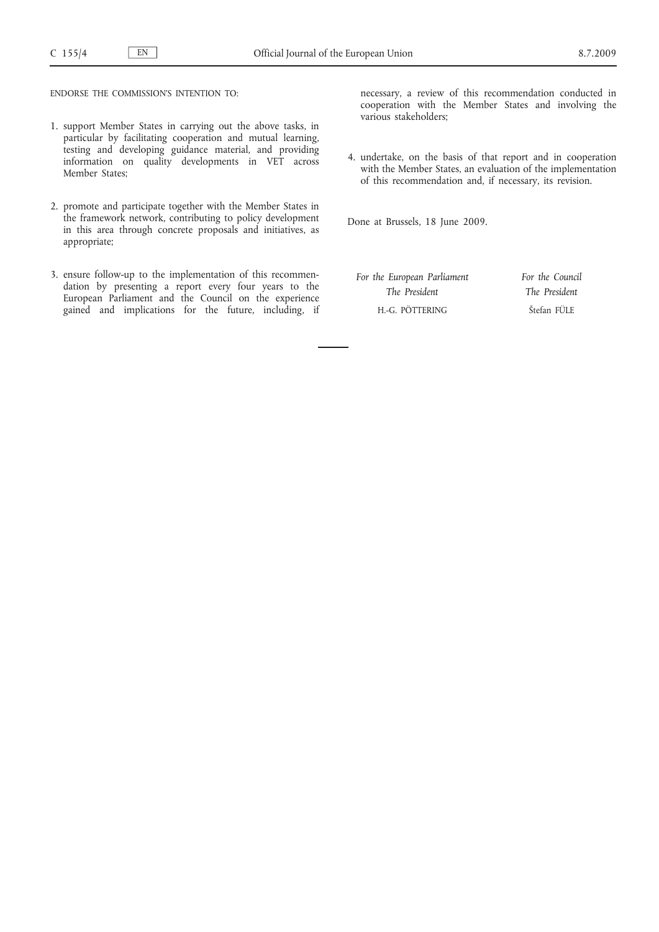ENDORSE THE COMMISSION'S INTENTION TO:

- 1. support Member States in carrying out the above tasks, in particular by facilitating cooperation and mutual learning, testing and developing guidance material, and providing information on quality developments in VET across Member States;
- 2. promote and participate together with the Member States in the framework network, contributing to policy development in this area through concrete proposals and initiatives, as appropriate;
- 3. ensure follow-up to the implementation of this recommendation by presenting a report every four years to the European Parliament and the Council on the experience gained and implications for the future, including, if

necessary, a review of this recommendation conducted in cooperation with the Member States and involving the various stakeholders;

4. undertake, on the basis of that report and in cooperation with the Member States, an evaluation of the implementation of this recommendation and, if necessary, its revision.

Done at Brussels, 18 June 2009.

*For the European Parliament The President* H.-G. PÖTTERING

*For the Council The President* Štefan FÜLE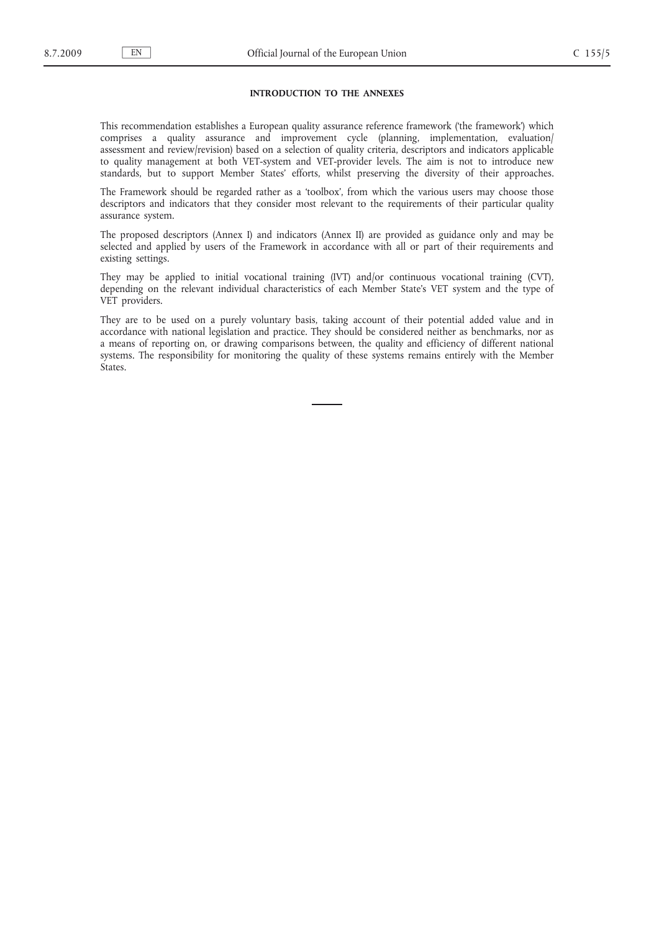#### **INTRODUCTION TO THE ANNEXES**

This recommendation establishes a European quality assurance reference framework ('the framework') which comprises a quality assurance and improvement cycle (planning, implementation, evaluation/ assessment and review/revision) based on a selection of quality criteria, descriptors and indicators applicable to quality management at both VET-system and VET-provider levels. The aim is not to introduce new standards, but to support Member States' efforts, whilst preserving the diversity of their approaches.

The Framework should be regarded rather as a 'toolbox', from which the various users may choose those descriptors and indicators that they consider most relevant to the requirements of their particular quality assurance system.

The proposed descriptors (Annex I) and indicators (Annex II) are provided as guidance only and may be selected and applied by users of the Framework in accordance with all or part of their requirements and existing settings.

They may be applied to initial vocational training (IVT) and/or continuous vocational training (CVT), depending on the relevant individual characteristics of each Member State's VET system and the type of VET providers.

They are to be used on a purely voluntary basis, taking account of their potential added value and in accordance with national legislation and practice. They should be considered neither as benchmarks, nor as a means of reporting on, or drawing comparisons between, the quality and efficiency of different national systems. The responsibility for monitoring the quality of these systems remains entirely with the Member States.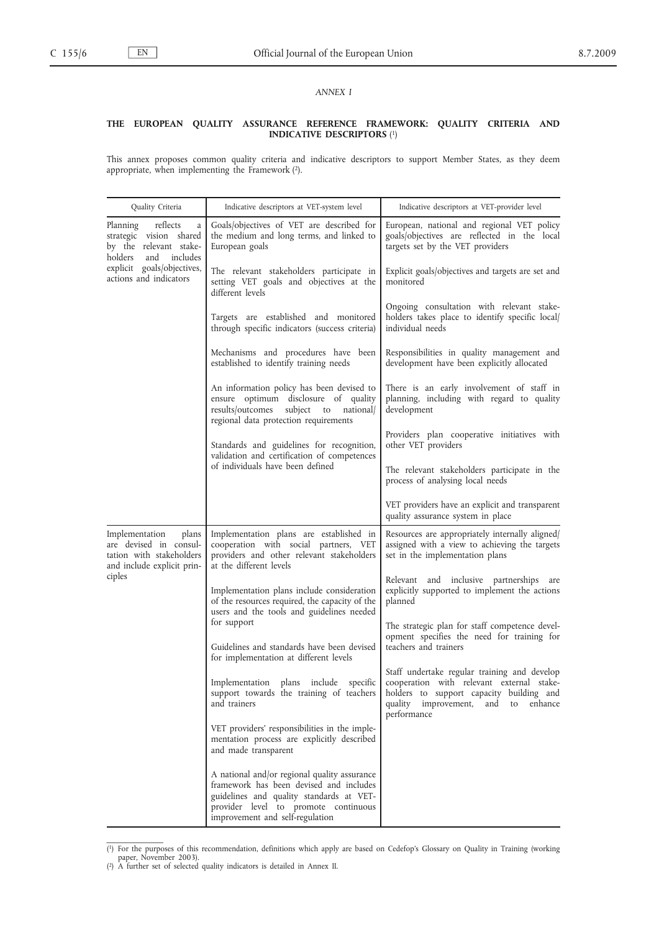# *ANNEX I*

#### **THE EUROPEAN QUALITY ASSURANCE REFERENCE FRAMEWORK: QUALITY CRITERIA AND INDICATIVE DESCRIPTORS** (1)

This annex proposes common quality criteria and indicative descriptors to support Member States, as they deem appropriate, when implementing the Framework (2).

| Quality Criteria                                                                                                                                                  | Indicative descriptors at VET-system level                                                                                                                                                                     | Indicative descriptors at VET-provider level                                                                                                                                                      |
|-------------------------------------------------------------------------------------------------------------------------------------------------------------------|----------------------------------------------------------------------------------------------------------------------------------------------------------------------------------------------------------------|---------------------------------------------------------------------------------------------------------------------------------------------------------------------------------------------------|
| reflects<br>Planning<br>a<br>strategic vision shared<br>by the relevant stake-<br>holders<br>and includes<br>explicit goals/objectives,<br>actions and indicators | Goals/objectives of VET are described for<br>the medium and long terms, and linked to<br>European goals                                                                                                        | European, national and regional VET policy<br>goals/objectives are reflected in the local<br>targets set by the VET providers                                                                     |
|                                                                                                                                                                   | The relevant stakeholders participate in<br>setting VET goals and objectives at the<br>different levels                                                                                                        | Explicit goals/objectives and targets are set and<br>monitored                                                                                                                                    |
|                                                                                                                                                                   | Targets are established and monitored<br>through specific indicators (success criteria)                                                                                                                        | Ongoing consultation with relevant stake-<br>holders takes place to identify specific local/<br>individual needs                                                                                  |
|                                                                                                                                                                   | Mechanisms and procedures have been<br>established to identify training needs                                                                                                                                  | Responsibilities in quality management and<br>development have been explicitly allocated                                                                                                          |
|                                                                                                                                                                   | An information policy has been devised to<br>ensure optimum disclosure of quality<br>results/outcomes subject to national/<br>regional data protection requirements                                            | There is an early involvement of staff in<br>planning, including with regard to quality<br>development                                                                                            |
|                                                                                                                                                                   | Standards and guidelines for recognition,<br>validation and certification of competences<br>of individuals have been defined                                                                                   | Providers plan cooperative initiatives with<br>other VET providers                                                                                                                                |
|                                                                                                                                                                   |                                                                                                                                                                                                                | The relevant stakeholders participate in the<br>process of analysing local needs                                                                                                                  |
|                                                                                                                                                                   |                                                                                                                                                                                                                | VET providers have an explicit and transparent<br>quality assurance system in place                                                                                                               |
| Implementation<br>plans<br>are devised in consul-<br>tation with stakeholders<br>and include explicit prin-<br>ciples                                             | Implementation plans are established in<br>cooperation with social partners, VET<br>providers and other relevant stakeholders<br>at the different levels                                                       | Resources are appropriately internally aligned<br>assigned with a view to achieving the targets<br>set in the implementation plans                                                                |
|                                                                                                                                                                   | Implementation plans include consideration<br>of the resources required, the capacity of the<br>users and the tools and guidelines needed                                                                      | Relevant and inclusive partnerships are<br>explicitly supported to implement the actions<br>planned                                                                                               |
|                                                                                                                                                                   | for support<br>Guidelines and standards have been devised<br>for implementation at different levels                                                                                                            | The strategic plan for staff competence devel-<br>opment specifies the need for training for<br>teachers and trainers                                                                             |
|                                                                                                                                                                   | Implementation plans include specific<br>support towards the training of teachers<br>and trainers                                                                                                              | Staff undertake regular training and develop<br>cooperation with relevant external stake-<br>holders to support capacity building and<br>quality improvement, and<br>enhance<br>to<br>performance |
|                                                                                                                                                                   | VET providers' responsibilities in the imple-<br>mentation process are explicitly described<br>and made transparent                                                                                            |                                                                                                                                                                                                   |
|                                                                                                                                                                   | A national and/or regional quality assurance<br>framework has been devised and includes<br>guidelines and quality standards at VET-<br>provider level to promote continuous<br>improvement and self-regulation |                                                                                                                                                                                                   |

<sup>(1)</sup> For the purposes of this recommendation, definitions which apply are based on Cedefop's Glossary on Quality in Training (working paper, November 2003).<br>(2) A further set of selected quality indicators is detailed in An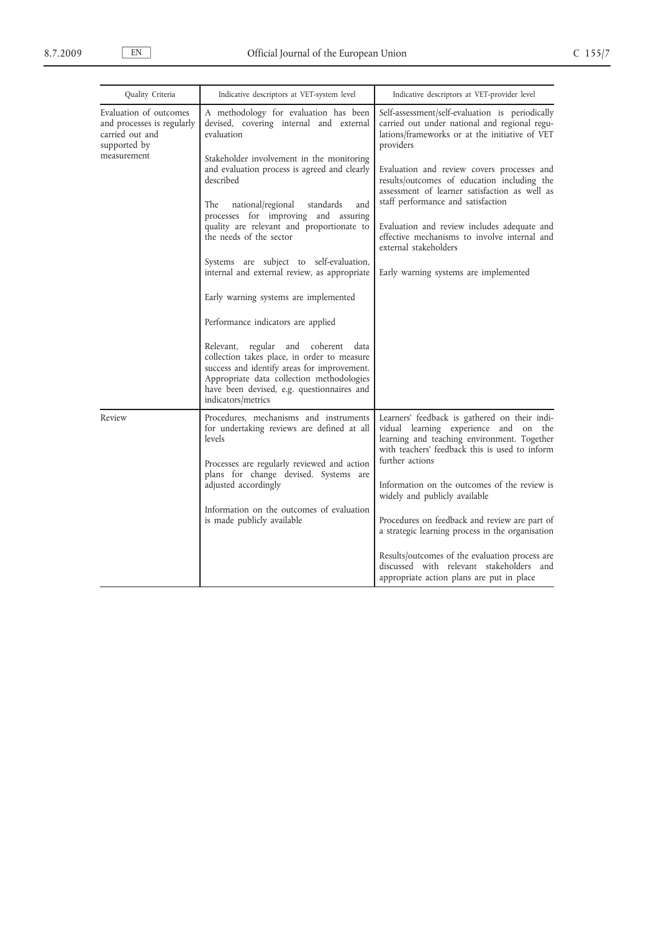| Quality Criteria                                                                                       | Indicative descriptors at VET-system level                                                                                                                                                                                                         | Indicative descriptors at VET-provider level                                                                                                                                            |  |
|--------------------------------------------------------------------------------------------------------|----------------------------------------------------------------------------------------------------------------------------------------------------------------------------------------------------------------------------------------------------|-----------------------------------------------------------------------------------------------------------------------------------------------------------------------------------------|--|
| Evaluation of outcomes<br>and processes is regularly<br>carried out and<br>supported by<br>measurement | A methodology for evaluation has been<br>devised, covering internal and external<br>evaluation                                                                                                                                                     | Self-assessment/self-evaluation is periodically<br>carried out under national and regional regu-<br>lations/frameworks or at the initiative of VET<br>providers                         |  |
|                                                                                                        | Stakeholder involvement in the monitoring<br>and evaluation process is agreed and clearly<br>described                                                                                                                                             | Evaluation and review covers processes and<br>results/outcomes of education including the<br>assessment of learner satisfaction as well as                                              |  |
|                                                                                                        | national/regional<br>The<br>standards<br>and<br>processes for improving and assuring                                                                                                                                                               | staff performance and satisfaction                                                                                                                                                      |  |
|                                                                                                        | quality are relevant and proportionate to<br>the needs of the sector                                                                                                                                                                               | Evaluation and review includes adequate and<br>effective mechanisms to involve internal and<br>external stakeholders                                                                    |  |
|                                                                                                        | Systems are subject to self-evaluation,<br>internal and external review, as appropriate                                                                                                                                                            | Early warning systems are implemented                                                                                                                                                   |  |
|                                                                                                        | Early warning systems are implemented                                                                                                                                                                                                              |                                                                                                                                                                                         |  |
|                                                                                                        | Performance indicators are applied                                                                                                                                                                                                                 |                                                                                                                                                                                         |  |
|                                                                                                        | Relevant, regular and coherent data<br>collection takes place, in order to measure<br>success and identify areas for improvement.<br>Appropriate data collection methodologies<br>have been devised, e.g. questionnaires and<br>indicators/metrics |                                                                                                                                                                                         |  |
| Review                                                                                                 | Procedures, mechanisms and instruments<br>for undertaking reviews are defined at all<br>levels                                                                                                                                                     | Learners' feedback is gathered on their indi-<br>vidual learning experience and on the<br>learning and teaching environment. Together<br>with teachers' feedback this is used to inform |  |
|                                                                                                        | Processes are regularly reviewed and action<br>plans for change devised. Systems are<br>adjusted accordingly                                                                                                                                       | further actions<br>Information on the outcomes of the review is<br>widely and publicly available                                                                                        |  |
|                                                                                                        | Information on the outcomes of evaluation<br>is made publicly available                                                                                                                                                                            | Procedures on feedback and review are part of<br>a strategic learning process in the organisation                                                                                       |  |
|                                                                                                        |                                                                                                                                                                                                                                                    | Results/outcomes of the evaluation process are<br>discussed with relevant stakeholders and<br>appropriate action plans are put in place                                                 |  |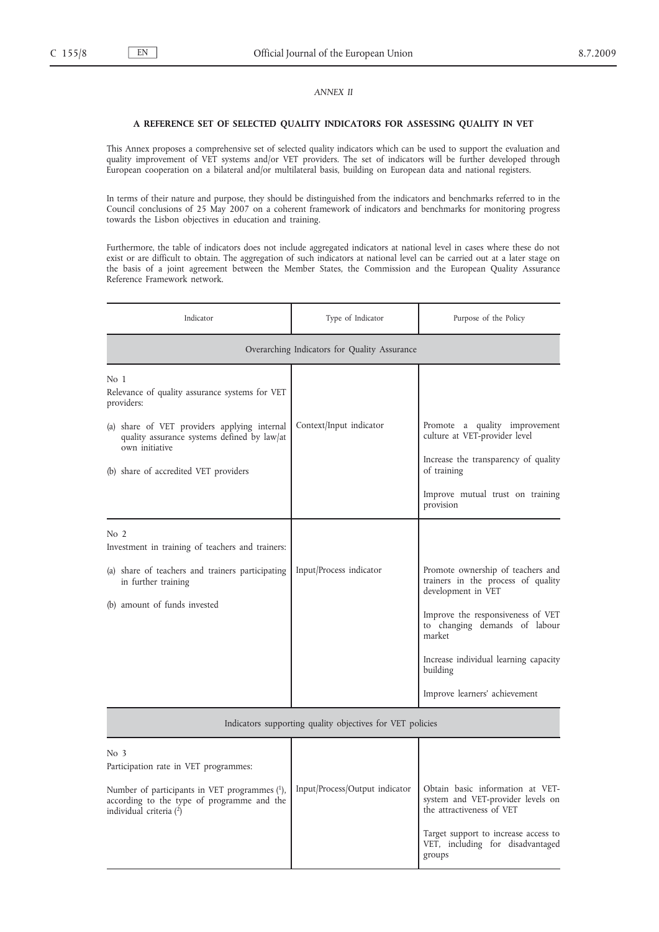# *ANNEX II*

#### **A REFERENCE SET OF SELECTED QUALITY INDICATORS FOR ASSESSING QUALITY IN VET**

This Annex proposes a comprehensive set of selected quality indicators which can be used to support the evaluation and quality improvement of VET systems and/or VET providers. The set of indicators will be further developed through European cooperation on a bilateral and/or multilateral basis, building on European data and national registers.

In terms of their nature and purpose, they should be distinguished from the indicators and benchmarks referred to in the Council conclusions of 25 May 2007 on a coherent framework of indicators and benchmarks for monitoring progress towards the Lisbon objectives in education and training.

Furthermore, the table of indicators does not include aggregated indicators at national level in cases where these do not exist or are difficult to obtain. The aggregation of such indicators at national level can be carried out at a later stage on the basis of a joint agreement between the Member States, the Commission and the European Quality Assurance Reference Framework network.

| Indicator                                                                                                                                                                                                                      | Type of Indicator                                         | Purpose of the Policy                                                                                                                                                                                                                                               |  |  |
|--------------------------------------------------------------------------------------------------------------------------------------------------------------------------------------------------------------------------------|-----------------------------------------------------------|---------------------------------------------------------------------------------------------------------------------------------------------------------------------------------------------------------------------------------------------------------------------|--|--|
| Overarching Indicators for Quality Assurance                                                                                                                                                                                   |                                                           |                                                                                                                                                                                                                                                                     |  |  |
| No 1<br>Relevance of quality assurance systems for VET<br>providers:<br>(a) share of VET providers applying internal<br>quality assurance systems defined by law/at<br>own initiative<br>(b) share of accredited VET providers | Context/Input indicator                                   | Promote a quality improvement<br>culture at VET-provider level<br>Increase the transparency of quality<br>of training<br>Improve mutual trust on training<br>provision                                                                                              |  |  |
| No 2<br>Investment in training of teachers and trainers:<br>(a) share of teachers and trainers participating<br>in further training<br>(b) amount of funds invested                                                            | Input/Process indicator                                   | Promote ownership of teachers and<br>trainers in the process of quality<br>development in VET<br>Improve the responsiveness of VET<br>to changing demands of labour<br>market<br>Increase individual learning capacity<br>building<br>Improve learners' achievement |  |  |
|                                                                                                                                                                                                                                | Indicators supporting quality objectives for VET policies |                                                                                                                                                                                                                                                                     |  |  |
| No <sub>3</sub><br>Participation rate in VET programmes:<br>Number of participants in VET programmes (1),<br>according to the type of programme and the<br>individual criteria (2)                                             | Input/Process/Output indicator                            | Obtain basic information at VET-<br>system and VET-provider levels on<br>the attractiveness of VET<br>Target support to increase access to<br>VET, including for disadvantaged<br>groups                                                                            |  |  |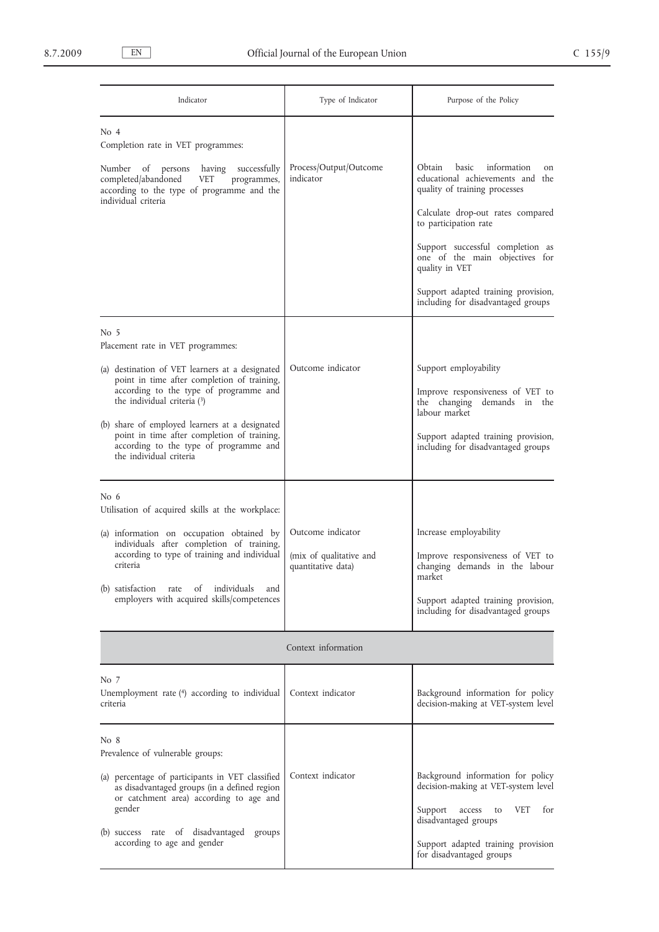| Indicator                                                                                                                                                                                                                                                                                                                                                                                  | Type of Indicator                                                  | Purpose of the Policy                                                                                                                                                                                                                                                                                                                        |
|--------------------------------------------------------------------------------------------------------------------------------------------------------------------------------------------------------------------------------------------------------------------------------------------------------------------------------------------------------------------------------------------|--------------------------------------------------------------------|----------------------------------------------------------------------------------------------------------------------------------------------------------------------------------------------------------------------------------------------------------------------------------------------------------------------------------------------|
| No <sub>4</sub><br>Completion rate in VET programmes:<br>Number of persons<br>successfully<br>having<br>completed/abandoned<br><b>VET</b><br>programmes,<br>according to the type of programme and the<br>individual criteria                                                                                                                                                              | Process/Output/Outcome<br>indicator                                | Obtain<br>basic<br>information<br>on<br>educational achievements and the<br>quality of training processes<br>Calculate drop-out rates compared<br>to participation rate<br>Support successful completion as<br>one of the main objectives for<br>quality in VET<br>Support adapted training provision,<br>including for disadvantaged groups |
| No 5<br>Placement rate in VET programmes:<br>(a) destination of VET learners at a designated<br>point in time after completion of training,<br>according to the type of programme and<br>the individual criteria (3)<br>(b) share of employed learners at a designated<br>point in time after completion of training,<br>according to the type of programme and<br>the individual criteria | Outcome indicator                                                  | Support employability<br>Improve responsiveness of VET to<br>the changing demands in the<br>labour market<br>Support adapted training provision,<br>including for disadvantaged groups                                                                                                                                                       |
| No $6$<br>Utilisation of acquired skills at the workplace:<br>(a) information on occupation obtained by<br>individuals after completion of training,<br>according to type of training and individual<br>criteria<br>(b) satisfaction rate<br>individuals<br>of<br>and<br>employers with acquired skills/competences                                                                        | Outcome indicator<br>(mix of qualitative and<br>quantitative data) | Increase employability<br>Improve responsiveness of VET to<br>changing demands in the labour<br>market<br>Support adapted training provision,<br>including for disadvantaged groups                                                                                                                                                          |
|                                                                                                                                                                                                                                                                                                                                                                                            | Context information                                                |                                                                                                                                                                                                                                                                                                                                              |
| No 7<br>Unemployment rate $(4)$ according to individual<br>criteria                                                                                                                                                                                                                                                                                                                        | Context indicator                                                  | Background information for policy<br>decision-making at VET-system level                                                                                                                                                                                                                                                                     |
| No 8<br>Prevalence of vulnerable groups:<br>(a) percentage of participants in VET classified<br>as disadvantaged groups (in a defined region<br>or catchment area) according to age and<br>gender<br>(b) success rate of disadvantaged<br>groups<br>according to age and gender                                                                                                            | Context indicator                                                  | Background information for policy<br>decision-making at VET-system level<br><b>VET</b><br>for<br>Support<br>access<br>to<br>disadvantaged groups<br>Support adapted training provision<br>for disadvantaged groups                                                                                                                           |